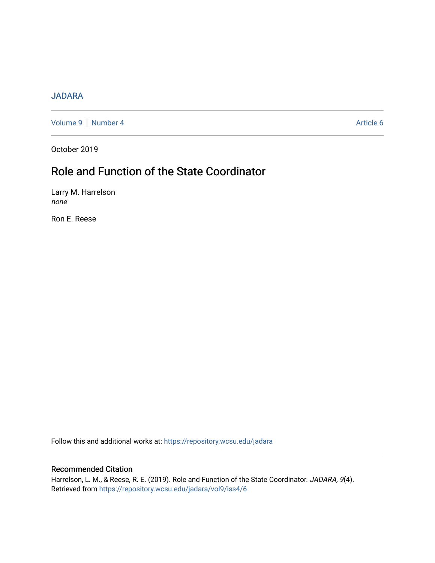# [JADARA](https://repository.wcsu.edu/jadara)

[Volume 9](https://repository.wcsu.edu/jadara/vol9) | [Number 4](https://repository.wcsu.edu/jadara/vol9/iss4) Article 6

October 2019

# Role and Function of the State Coordinator

Larry M. Harrelson none

Ron E. Reese

Follow this and additional works at: [https://repository.wcsu.edu/jadara](https://repository.wcsu.edu/jadara?utm_source=repository.wcsu.edu%2Fjadara%2Fvol9%2Fiss4%2F6&utm_medium=PDF&utm_campaign=PDFCoverPages)

# Recommended Citation

Harrelson, L. M., & Reese, R. E. (2019). Role and Function of the State Coordinator. JADARA, 9(4). Retrieved from [https://repository.wcsu.edu/jadara/vol9/iss4/6](https://repository.wcsu.edu/jadara/vol9/iss4/6?utm_source=repository.wcsu.edu%2Fjadara%2Fvol9%2Fiss4%2F6&utm_medium=PDF&utm_campaign=PDFCoverPages)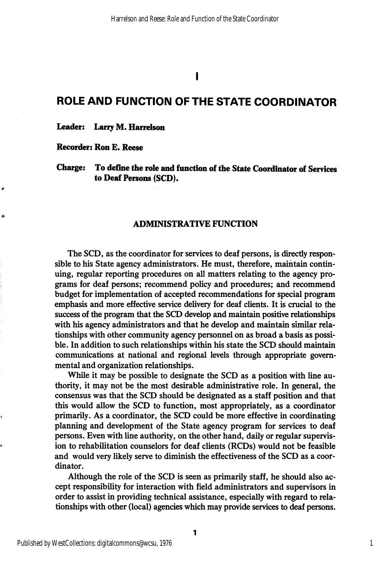I

# ROLE AND FUNCTION OF THE STATE COORDINATOR

# Leader: Larry M. Harrelson

# Recorder: Ron E. Reese

ە

 $\ddot{\phantom{0}}$ 

# Charge: To define the role and function of the State Coordinator of Services to Deaf Persons (SCD).

#### ADMINISTRATIVE FUNCTION

The SCD, as the coordinator for services to deaf persons, is directly respon sible to his State agency administrators. He must, therefore, maintain contin uing, regular reporting procedures on all matters relating to the agency pro grams for deaf persons; recommend policy and procedures; and recommend budget for implementation of accepted recommendations for special program emphasis and more effective service delivery for deaf clients. It is crucial to the success of the program that the SCD develop and maintain positive relationships with his agency administrators and that he develop and maintain similar rela tionships with other community agency personnel on as broad a basis as possi ble. In addition to such relationships within his state the SCD should maintain communications at national and regional levels through appropriate govern mental and organization relationships.

While it may be possible to designate the SCD as a position with line au thority, it may not be the most desirable administrative role. In general, the consensus was that the SCD should be designated as a staff position and that this would allow the SCD to function, most appropriately, as a coordinator primarily. As a coordinator, the SCD could be more effective in coordinating planning and development of the State agency program for services to deaf persons. Even with line authority, on the other hand, daily or regular supervis ion to rehabilitation counselors for deaf clients (RCDs) would not be feasible and would very likely serve to diminish the effectiveness of the SCD as a coor dinator.

Although the role of the SCD is seen as primarily staff, he should also ac cept responsibility for interaction with field administrators and supervisors in order to assist in providing technical assistance, especially with regard to rela tionships with other (local) agencies which may provide services to deaf persons.

1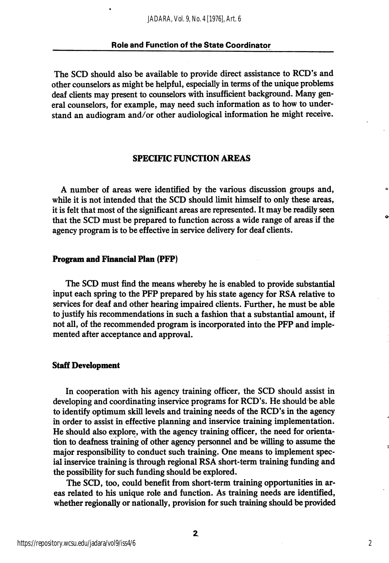The SCD should also be available to provide direct assistance to RCD's and other counselors as might be helpful, especially in terms of the unique problems deaf clients may present to counselors with insufficient background. Many gen eral counselors, for example, may need such information as to how to under stand an audiogram and/or other audiological information he might receive.

# SPECIFIC FUNCTION AREAS

A number of areas were identified by the various discussion groups and, while it is not intended that the SCD should limit himself to only these areas, it is felt that most of the significant areas are represented. It may be readily seen that the SCD must be prepared to function across a wide range of areas if the agency program is to be effective in service delivery for deaf clients.

#### Program and Financial Plan (PFP)

The SCD must find the means whereby he is enabled to provide substantial input each spring to the PFP prepared by his state agency for RSA relative to services for deaf and other hearing impaired clients. Further, he must be able to justify his recommendations in such a fashion that a substantial amount, if not all, of the recommended program is incorporated into the PFP and imple mented after acceptance and approval.

#### Staff Development

In cooperation with his agency training officer, the SCD should assist in developing and coordinating inservice programs for RCD's. He should be able to identify optimum skill levels and training needs of the RCD's in the agency in order to assist in effective planning and inservice training implementation. He should also explore, with the agency training officer, the need for orienta tion to deafness training of other agency personnel and be willing to assume the major responsibility to conduct such training. One means to implement spec ial inservice training is through regional RSA short-term training funding and the possibility for such funding should be explored.

The SCD, too, could benefit from short-term training opportunities in ar eas related to his unique role and function. As training needs are identified, whether regionally or nationally, provision for such training should be provided

2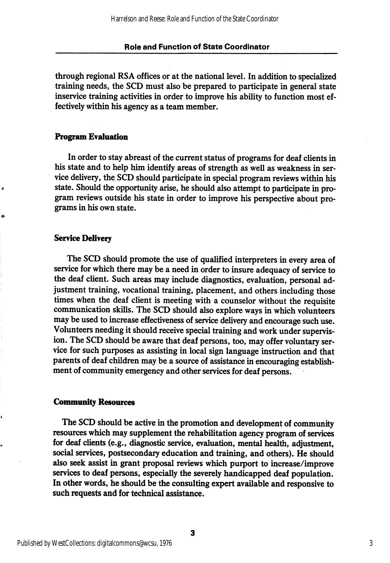through regional RSA offices or at the national level. In addition to specialized training needs, the SCD must also be prepared to participate in general state inservice training activities in order to improve his ability to function most ef fectively within his agency as a team member.

# Program Evaluation

In order to stay abreast of the current status of programs for deaf clients in his state and to help him identify areas of strength as well as weakness in ser vice delivery, the SCD should participate in special program reviews within his state. Should the opportunity arise, he should also attempt to participate in pro gram reviews outside his state in order to improve his perspective about pro grams in his own state.

#### Service Delivery

o

The SCD should promote the use of qualified interpreters in every area of service for which there may be a need in order to insure adequacy of service to the deaf client. Such areas may include diagnostics, evaluation, personal ad justment training, vocational training, placement, and others including those times when the deaf client is meeting with a counselor without the requisite communication skills. The SCD should also explore ways in which volunteers may be used to increase effectiveness of service delivery and encourage such use. Volunteers needing it should receive special training and work under supervis ion. The SCD should be aware that deaf persons, too, may offer voluntary service for such purposes as assisting in local sign language instruction and that parents of deaf children may be a source of assistance in encouraging establish ment of community emergency and other services for deaf persons.

#### Community Resources

The SCD should be active in the promotion and development of community resources which may supplement the rehabilitation agency program of services for deaf clients (e.g., diagnostic service, evaluation, mental health, adjustment, social services, postsecondary education and training, and others). He should also seek assist in grant proposal reviews which purport to increase/improve services to deaf persons, especially the severely handicapped deaf population. In other words, he should be the consulting expert available and responsive to such requests and for technical assistance.

3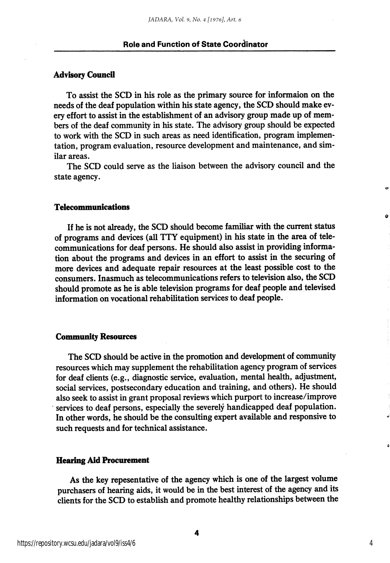## **Advisory Council**

To assist the SCD in his role as the primary source for informaion on the needs of the deaf population within his state agency, the SCD should make ev ery effort to assist in the establishment of an advisory group made up of mem bers of the deaf community in his state. The advisory group should be expected to work with the SCD in such areas as need identification, program implemen tation, program evaluation, resource development and maintenance, and sim ilar areas.

The SCD could serve as the liaison between the advisory council and the state agency.

### Telecommunications

If he is not already, the SCD should become familiar with the current status of programs and devices (all TTY equipment) in his state in the area of tele communications for deaf persons. He should also assist in providing informa tion about the programs and devices in an effort to assist in the securing of more devices and adequate repair resources at the least possible cost to the consumers. Inasmuch as telecommunications refers to television also, the SCD should promote as he is able television programs for deaf people and televised information on vocational rehabilitation services to deaf people.

#### Community Resources

The SCD should be active in the promotion and development of community resources which may supplement the rehabilitation agency program of services for deaf clients (e.g., diagnostic service, evaluation, mental health, adjustment, social services, postsecondary education and training, and others). He should also seek to assist in grant proposal reviews which purport to increase/improve services to deaf persons, especially the severely handicapped deaf population. In other words, he should be the consulting expert available and responsive to such requests and for technical assistance.

# Hearing Aid Procurement

As the key repesentative of the agency which is one of the largest volume purchasers of hearing aids, it would be in the best interest of the agency and its clients for the SCD to establish and promote healthy relationships between the